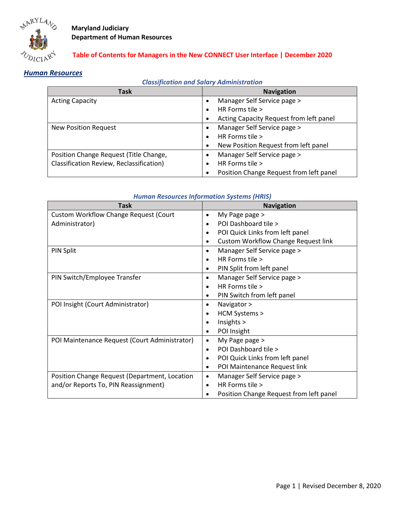

### **Table of Contents for Managers in the New CONNECT User Interface | December 2020**

# *Human Resources*

### *Classification and Salary Administration*

| Task                                     | <b>Navigation</b>                                    |
|------------------------------------------|------------------------------------------------------|
| <b>Acting Capacity</b>                   | Manager Self Service page ><br>$\bullet$             |
|                                          | HR Forms tile ><br>$\bullet$                         |
|                                          | Acting Capacity Request from left panel<br>$\bullet$ |
| <b>New Position Request</b>              | Manager Self Service page ><br>$\bullet$             |
|                                          | HR Forms tile ><br>$\bullet$                         |
|                                          | New Position Request from left panel<br>$\bullet$    |
| Position Change Request (Title Change,   | Manager Self Service page ><br>$\bullet$             |
| Classification Review, Reclassification) | HR Forms tile ><br>$\bullet$                         |
|                                          | Position Change Request from left panel              |

#### **Task Navigation Navigation** Custom Workflow Change Request (Court Administrator) • My Page page > • POI Dashboard tile > • POI Quick Links from left panel • Custom Workflow Change Request link PIN Split • Manager Self Service page > • HR Forms tile > • PIN Split from left panel PIN Switch/Employee Transfer **•** Manager Self Service page > • HR Forms tile > • PIN Switch from left panel POI Insight (Court Administrator)  $\bullet$  Navigator > • HCM Systems > • Insights > • POI Insight POI Maintenance Request (Court Administrator) • My Page page > • POI Dashboard tile > • POI Quick Links from left panel • POI Maintenance Request link Position Change Request (Department, Location and/or Reports To, PIN Reassignment) • Manager Self Service page > • HR Forms tile > • Position Change Request from left panel

#### *Human Resources Information Systems (HRIS)*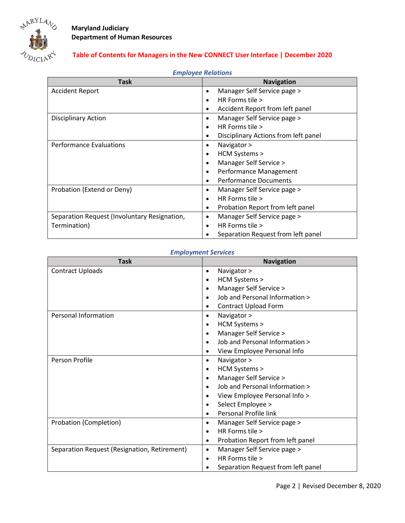

## **Table of Contents for Managers in the New CONNECT User Interface | December 2020**

| <b>LITIPIOYUU MURUUTIJ</b>                   |                                                   |
|----------------------------------------------|---------------------------------------------------|
| <b>Task</b>                                  | <b>Navigation</b>                                 |
| <b>Accident Report</b>                       | Manager Self Service page ><br>$\bullet$          |
|                                              | HR Forms tile $>$<br>$\bullet$                    |
|                                              | Accident Report from left panel<br>$\bullet$      |
| <b>Disciplinary Action</b>                   | Manager Self Service page ><br>$\bullet$          |
|                                              | HR Forms tile $>$<br>٠                            |
|                                              | Disciplinary Actions from left panel<br>$\bullet$ |
| <b>Performance Evaluations</b>               | Navigator ><br>$\bullet$                          |
|                                              | HCM Systems ><br>$\bullet$                        |
|                                              | Manager Self Service ><br>$\bullet$               |
|                                              | Performance Management<br>$\bullet$               |
|                                              | <b>Performance Documents</b><br>$\bullet$         |
| Probation (Extend or Deny)                   | Manager Self Service page ><br>٠                  |
|                                              | HR Forms tile ><br>$\bullet$                      |
|                                              | Probation Report from left panel<br>$\bullet$     |
| Separation Request (Involuntary Resignation, | Manager Self Service page ><br>$\bullet$          |
| Termination)                                 | HR Forms tile ><br>$\bullet$                      |
|                                              | Separation Request from left panel<br>$\bullet$   |

### *Employee Relations*

### *Employment Services*

| <b>Task</b>                                  | <b>Navigation</b>                             |
|----------------------------------------------|-----------------------------------------------|
| <b>Contract Uploads</b>                      | Navigator ><br>$\bullet$                      |
|                                              | HCM Systems ><br>$\bullet$                    |
|                                              | Manager Self Service ><br>$\bullet$           |
|                                              | Job and Personal Information ><br>$\bullet$   |
|                                              | <b>Contract Upload Form</b><br>$\bullet$      |
| <b>Personal Information</b>                  | Navigator ><br>$\bullet$                      |
|                                              | HCM Systems ><br>٠                            |
|                                              | Manager Self Service ><br>$\bullet$           |
|                                              | Job and Personal Information ><br>$\bullet$   |
|                                              | View Employee Personal Info<br>$\bullet$      |
| Person Profile                               | Navigator ><br>$\bullet$                      |
|                                              | HCM Systems ><br>٠                            |
|                                              | Manager Self Service ><br>$\bullet$           |
|                                              | Job and Personal Information ><br>$\bullet$   |
|                                              | View Employee Personal Info ><br>$\bullet$    |
|                                              | Select Employee ><br>$\bullet$                |
|                                              | Personal Profile link<br>$\bullet$            |
| Probation (Completion)                       | Manager Self Service page ><br>$\bullet$      |
|                                              | HR Forms tile $>$<br>$\bullet$                |
|                                              | Probation Report from left panel<br>$\bullet$ |
| Separation Request (Resignation, Retirement) | Manager Self Service page ><br>$\bullet$      |
|                                              | HR Forms tile $>$<br>$\bullet$                |
|                                              | Separation Request from left panel            |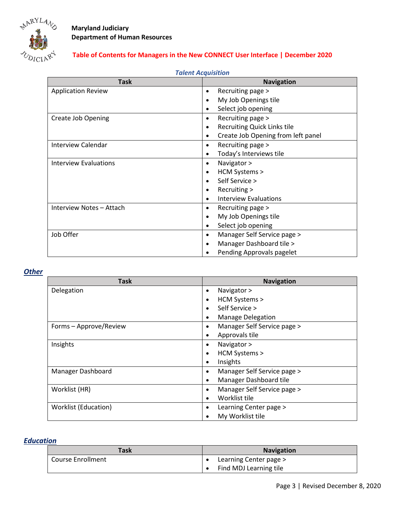

# **Table of Contents for Managers in the New CONNECT User Interface | December 2020**

| TUICHL ACQUISILIUII          |                                                 |
|------------------------------|-------------------------------------------------|
| <b>Task</b>                  | <b>Navigation</b>                               |
| <b>Application Review</b>    | Recruiting page ><br>$\bullet$                  |
|                              | My Job Openings tile<br>$\bullet$               |
|                              | Select job opening<br>$\bullet$                 |
| <b>Create Job Opening</b>    | Recruiting page ><br>$\bullet$                  |
|                              | <b>Recruiting Quick Links tile</b><br>$\bullet$ |
|                              | Create Job Opening from left panel<br>$\bullet$ |
| Interview Calendar           | Recruiting page ><br>$\bullet$                  |
|                              | Today's Interviews tile<br>$\bullet$            |
| <b>Interview Evaluations</b> | Navigator ><br>$\bullet$                        |
|                              | HCM Systems ><br>$\bullet$                      |
|                              | Self Service ><br>$\bullet$                     |
|                              | Recruiting ><br>$\bullet$                       |
|                              | <b>Interview Evaluations</b><br>$\bullet$       |
| Interview Notes - Attach     | Recruiting page ><br>$\bullet$                  |
|                              | My Job Openings tile<br>$\bullet$               |
|                              | Select job opening<br>$\bullet$                 |
| Job Offer                    | Manager Self Service page ><br>$\bullet$        |
|                              | Manager Dashboard tile ><br>$\bullet$           |
|                              | Pending Approvals pagelet<br>$\bullet$          |

### *Talent Acquisition*

### *Other*

| <b>Task</b>            | <b>Navigation</b>                        |
|------------------------|------------------------------------------|
| Delegation             | Navigator ><br>$\bullet$                 |
|                        | HCM Systems ><br>$\bullet$               |
|                        | Self Service ><br>$\bullet$              |
|                        | <b>Manage Delegation</b><br>٠            |
| Forms - Approve/Review | Manager Self Service page ><br>٠         |
|                        | Approvals tile<br>$\bullet$              |
| Insights               | Navigator ><br>$\bullet$                 |
|                        | HCM Systems ><br>٠                       |
|                        | Insights<br>$\bullet$                    |
| Manager Dashboard      | Manager Self Service page ><br>$\bullet$ |
|                        | Manager Dashboard tile<br>$\bullet$      |
| Worklist (HR)          | Manager Self Service page ><br>$\bullet$ |
|                        | Worklist tile<br>$\bullet$               |
| Worklist (Education)   | Learning Center page ><br>٠              |
|                        | My Worklist tile                         |

## *Education*

| Task                     | <b>Navigation</b>      |
|--------------------------|------------------------|
| <b>Course Enrollment</b> | Learning Center page > |
|                          | Find MDJ Learning tile |